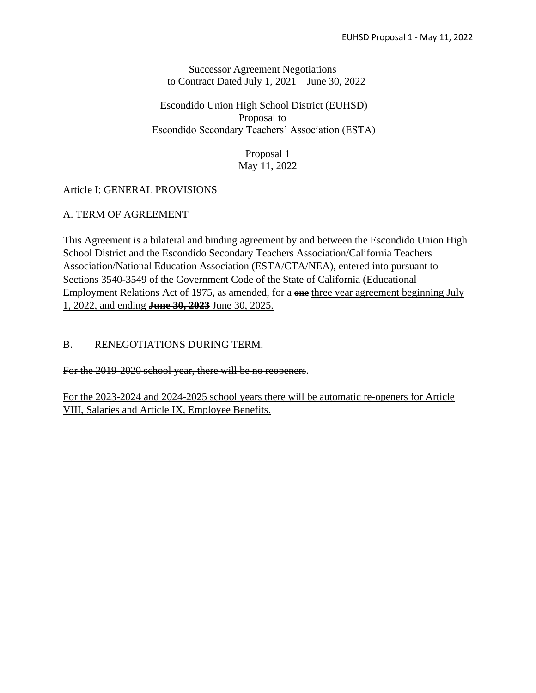Successor Agreement Negotiations to Contract Dated July 1, 2021 – June 30, 2022

Escondido Union High School District (EUHSD) Proposal to Escondido Secondary Teachers' Association (ESTA)

> Proposal 1 May 11, 2022

# Article I: GENERAL PROVISIONS

## A. TERM OF AGREEMENT

This Agreement is a bilateral and binding agreement by and between the Escondido Union High School District and the Escondido Secondary Teachers Association/California Teachers Association/National Education Association (ESTA/CTA/NEA), entered into pursuant to Sections 3540-3549 of the Government Code of the State of California (Educational Employment Relations Act of 1975, as amended, for a **one** three year agreement beginning July 1, 2022, and ending **June 30, 2023** June 30, 2025.

### B. RENEGOTIATIONS DURING TERM.

For the 2019-2020 school year, there will be no reopeners.

For the 2023-2024 and 2024-2025 school years there will be automatic re-openers for Article VIII, Salaries and Article IX, Employee Benefits.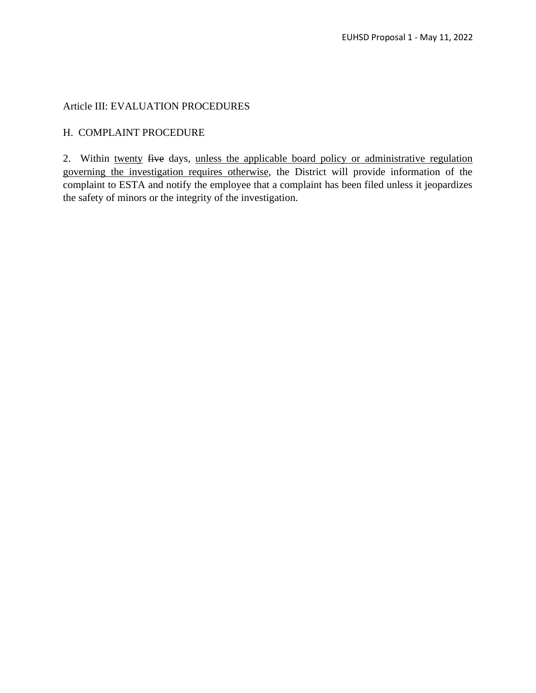### Article III: EVALUATION PROCEDURES

### H. COMPLAINT PROCEDURE

2. Within twenty five days, unless the applicable board policy or administrative regulation governing the investigation requires otherwise, the District will provide information of the complaint to ESTA and notify the employee that a complaint has been filed unless it jeopardizes the safety of minors or the integrity of the investigation.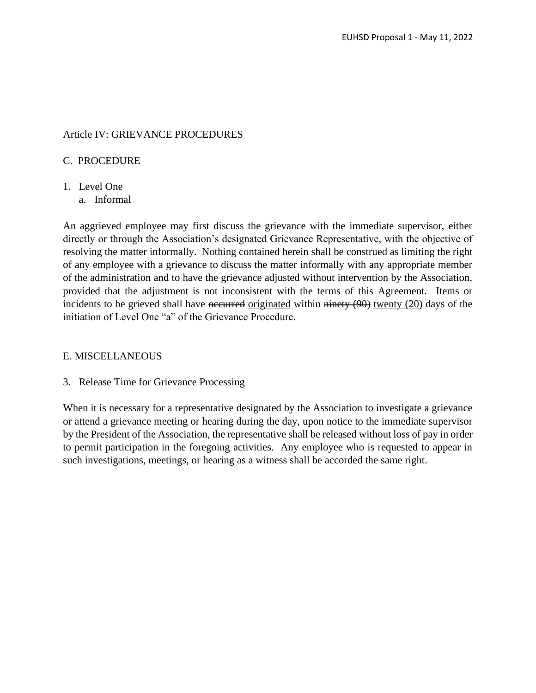### Article IV: GRIEVANCE PROCEDURES

#### C. PROCEDURE

- 1. Level One
	- a. Informal

An aggrieved employee may first discuss the grievance with the immediate supervisor, either directly or through the Association's designated Grievance Representative, with the objective of resolving the matter informally. Nothing contained herein shall be construed as limiting the right of any employee with a grievance to discuss the matter informally with any appropriate member of the administration and to have the grievance adjusted without intervention by the Association, provided that the adjustment is not inconsistent with the terms of this Agreement. Items or incidents to be grieved shall have occurred originated within ninety (90) twenty (20) days of the initiation of Level One "a" of the Grievance Procedure.

#### E. MISCELLANEOUS

3. Release Time for Grievance Processing

When it is necessary for a representative designated by the Association to investigate a grievance or attend a grievance meeting or hearing during the day, upon notice to the immediate supervisor by the President of the Association, the representative shall be released without loss of pay in order to permit participation in the foregoing activities. Any employee who is requested to appear in such investigations, meetings, or hearing as a witness shall be accorded the same right.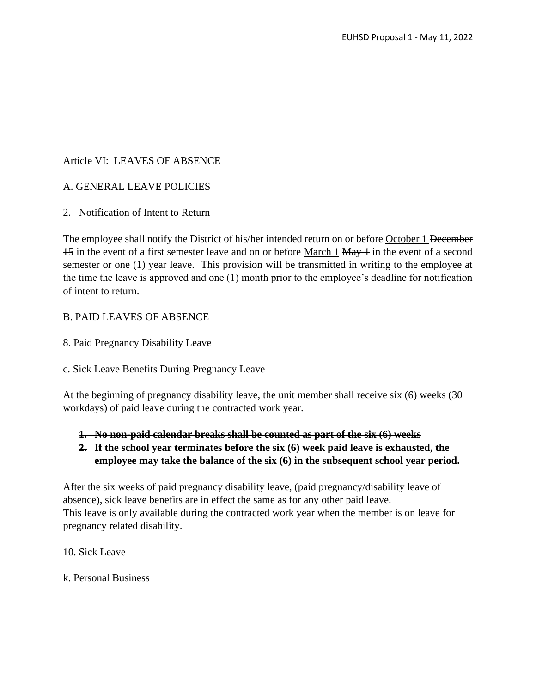## Article VI: LEAVES OF ABSENCE

## A. GENERAL LEAVE POLICIES

## 2. Notification of Intent to Return

The employee shall notify the District of his/her intended return on or before October 1 December 15 in the event of a first semester leave and on or before March 1 May 1 in the event of a second semester or one (1) year leave. This provision will be transmitted in writing to the employee at the time the leave is approved and one (1) month prior to the employee's deadline for notification of intent to return.

### B. PAID LEAVES OF ABSENCE

- 8. Paid Pregnancy Disability Leave
- c. Sick Leave Benefits During Pregnancy Leave

At the beginning of pregnancy disability leave, the unit member shall receive six (6) weeks (30 workdays) of paid leave during the contracted work year.

- **1. No non-paid calendar breaks shall be counted as part of the six (6) weeks**
- **2. If the school year terminates before the six (6) week paid leave is exhausted, the employee may take the balance of the six (6) in the subsequent school year period.**

After the six weeks of paid pregnancy disability leave, (paid pregnancy/disability leave of absence), sick leave benefits are in effect the same as for any other paid leave. This leave is only available during the contracted work year when the member is on leave for pregnancy related disability.

#### 10. Sick Leave

k. Personal Business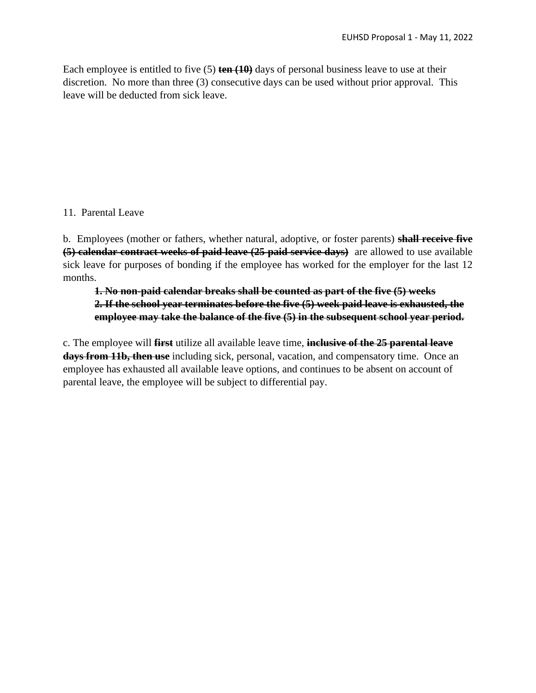Each employee is entitled to five (5) **ten (10)** days of personal business leave to use at their discretion. No more than three (3) consecutive days can be used without prior approval. This leave will be deducted from sick leave.

### 11. Parental Leave

b. Employees (mother or fathers, whether natural, adoptive, or foster parents) **shall receive five (5) calendar contract weeks of paid leave (25 paid service days)** are allowed to use available sick leave for purposes of bonding if the employee has worked for the employer for the last 12 months.

# **1. No non-paid calendar breaks shall be counted as part of the five (5) weeks 2. If the school year terminates before the five (5) week paid leave is exhausted, the employee may take the balance of the five (5) in the subsequent school year period.**

c. The employee will **first** utilize all available leave time, **inclusive of the 25 parental leave days from 11b, then use** including sick, personal, vacation, and compensatory time. Once an employee has exhausted all available leave options, and continues to be absent on account of parental leave, the employee will be subject to differential pay.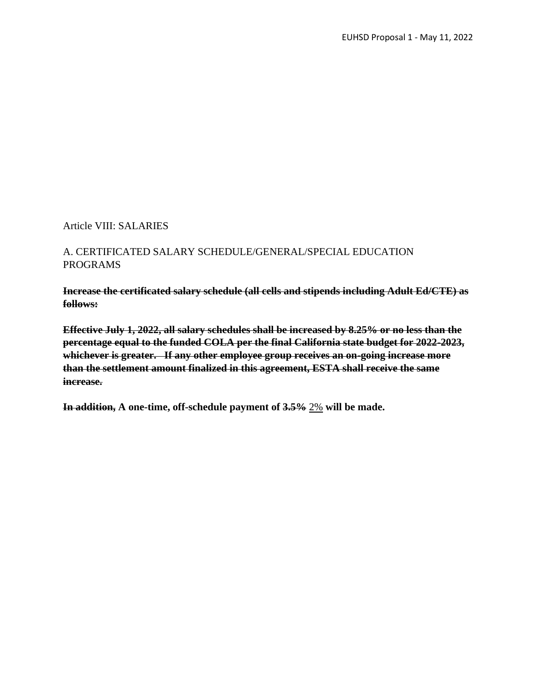Article VIII: SALARIES

## A. CERTIFICATED SALARY SCHEDULE/GENERAL/SPECIAL EDUCATION PROGRAMS

**Increase the certificated salary schedule (all cells and stipends including Adult Ed/CTE) as follows:**

**Effective July 1, 2022, all salary schedules shall be increased by 8.25% or no less than the percentage equal to the funded COLA per the final California state budget for 2022-2023, whichever is greater. If any other employee group receives an on-going increase more than the settlement amount finalized in this agreement, ESTA shall receive the same increase.**

**In addition, A one-time, off-schedule payment of 3.5%** 2% **will be made.**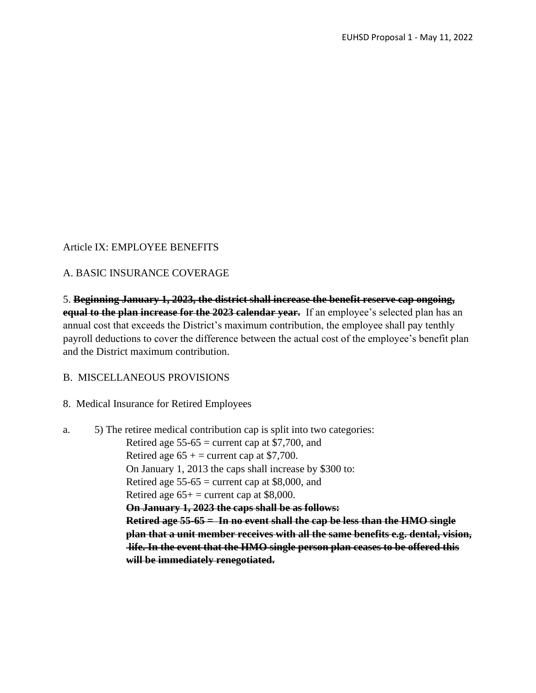## Article IX: EMPLOYEE BENEFITS

#### A. BASIC INSURANCE COVERAGE

5. **Beginning January 1, 2023, the district shall increase the benefit reserve cap ongoing, equal to the plan increase for the 2023 calendar year.** If an employee's selected plan has an annual cost that exceeds the District's maximum contribution, the employee shall pay tenthly payroll deductions to cover the difference between the actual cost of the employee's benefit plan and the District maximum contribution.

B. MISCELLANEOUS PROVISIONS

8. Medical Insurance for Retired Employees

```
a. 5) The retiree medical contribution cap is split into two categories:
  Retired age 55-65 = current cap at $7,700, and
  Retired age 65 + = current cap at $7,700.
  On January 1, 2013 the caps shall increase by $300 to:
  Retired age 55-65 = current cap at $8,000, and
  Retired age 65+ = current cap at $8,000.
  On January 1, 2023 the caps shall be as follows:
  Retired age 55-65 = In no event shall the cap be less than the HMO single 
  plan that a unit member receives with all the same benefits e.g. dental, vision, 
  life. In the event that the HMO single person plan ceases to be offered this 
  will be immediately renegotiated.
```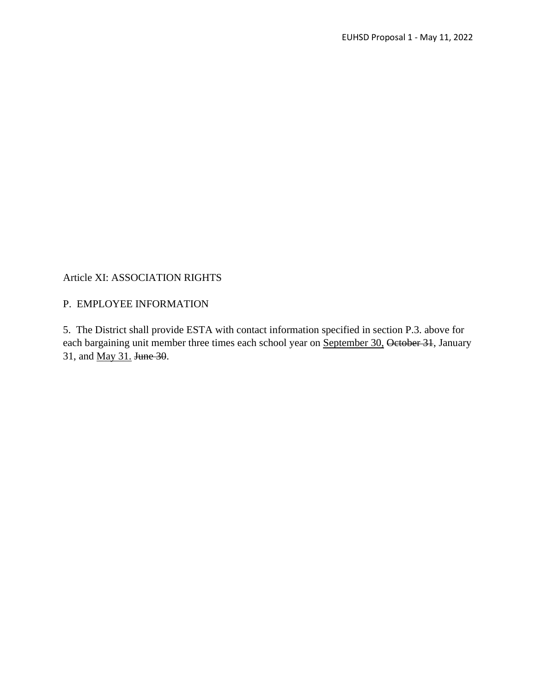#### Article XI: ASSOCIATION RIGHTS

### P. EMPLOYEE INFORMATION

5. The District shall provide ESTA with contact information specified in section P.3. above for each bargaining unit member three times each school year on September 30, October 31, January 31, and May 31. June 30.